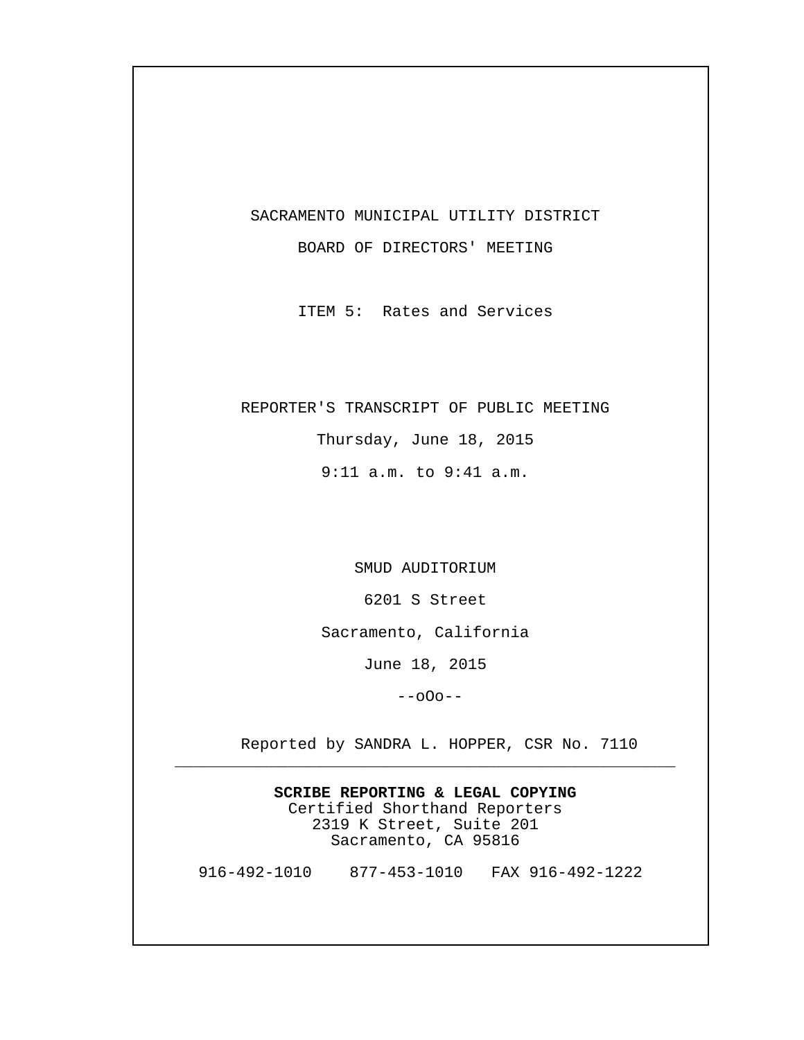## SACRAMENTO MUNICIPAL UTILITY DISTRICT

BOARD OF DIRECTORS' MEETING

ITEM 5: Rates and Services

## REPORTER'S TRANSCRIPT OF PUBLIC MEETING

Thursday, June 18, 2015 9:11 a.m. to 9:41 a.m.

SMUD AUDITORIUM

6201 S Street

Sacramento, California

June 18, 2015

--oOo--

Reported by SANDRA L. HOPPER, CSR No. 7110

**SCRIBE REPORTING & LEGAL COPYING** Certified Shorthand Reporters 2319 K Street, Suite 201 Sacramento, CA 95816

\_\_\_\_\_\_\_\_\_\_\_\_\_\_\_\_\_\_\_\_\_\_\_\_\_\_\_\_\_\_\_\_\_\_\_\_\_\_\_\_\_\_\_\_\_\_\_\_\_\_\_\_\_

916-492-1010 877-453-1010 FAX 916-492-1222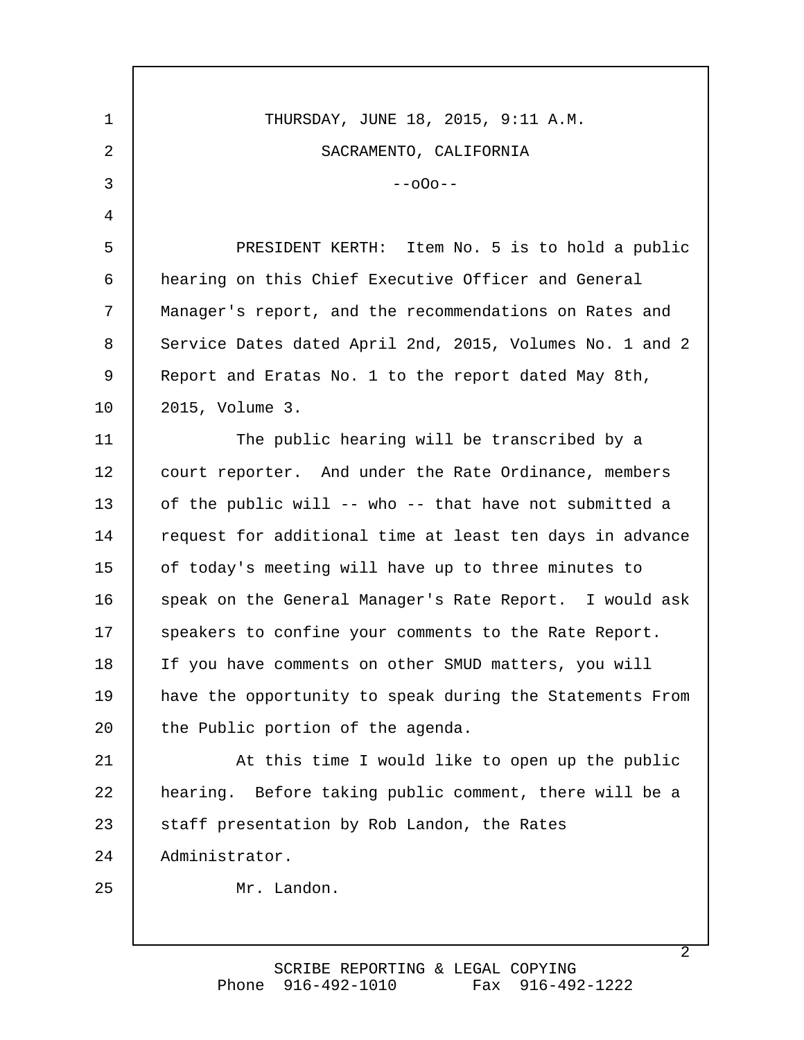THURSDAY, JUNE 18, 2015, 9:11 A.M. SACRAMENTO, CALIFORNIA  $-000 - -$  PRESIDENT KERTH: Item No. 5 is to hold a public hearing on this Chief Executive Officer and General Manager's report, and the recommendations on Rates and Service Dates dated April 2nd, 2015, Volumes No. 1 and 2 Report and Eratas No. 1 to the report dated May 8th, 2015, Volume 3. The public hearing will be transcribed by a court reporter. And under the Rate Ordinance, members of the public will -- who -- that have not submitted a request for additional time at least ten days in advance of today's meeting will have up to three minutes to speak on the General Manager's Rate Report. I would ask speakers to confine your comments to the Rate Report. If you have comments on other SMUD matters, you will have the opportunity to speak during the Statements From the Public portion of the agenda. At this time I would like to open up the public hearing. Before taking public comment, there will be a staff presentation by Rob Landon, the Rates Administrator. Mr. Landon. 1 2 3 4 5 6 7 8 9 10 11 12 13 14 15 16 17 18 19 20 21 22 23 24 25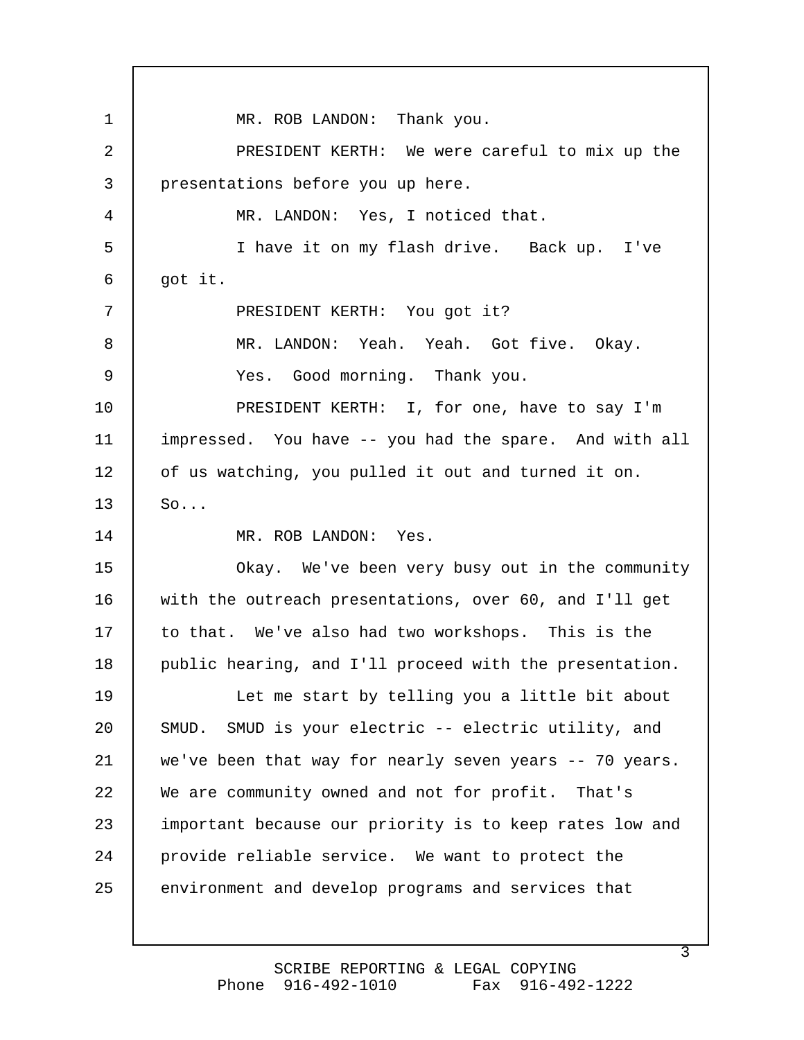MR. ROB LANDON: Thank you. PRESIDENT KERTH: We were careful to mix up the presentations before you up here. MR. LANDON: Yes, I noticed that. I have it on my flash drive. Back up. I've got it. PRESIDENT KERTH: You got it? MR. LANDON: Yeah. Yeah. Got five. Okay. Yes. Good morning. Thank you. PRESIDENT KERTH: I, for one, have to say I'm impressed. You have -- you had the spare. And with all of us watching, you pulled it out and turned it on. So... MR. ROB LANDON: Yes. Okay. We've been very busy out in the community with the outreach presentations, over 60, and I'll get to that. We've also had two workshops. This is the public hearing, and I'll proceed with the presentation. Let me start by telling you a little bit about SMUD. SMUD is your electric -- electric utility, and we've been that way for nearly seven years -- 70 years. We are community owned and not for profit. That's important because our priority is to keep rates low and provide reliable service. We want to protect the environment and develop programs and services that 1 2 3 4 5 6 7 8 9 10 11 12 13 14 15 16 17 18 19 20 21 22 23 24 25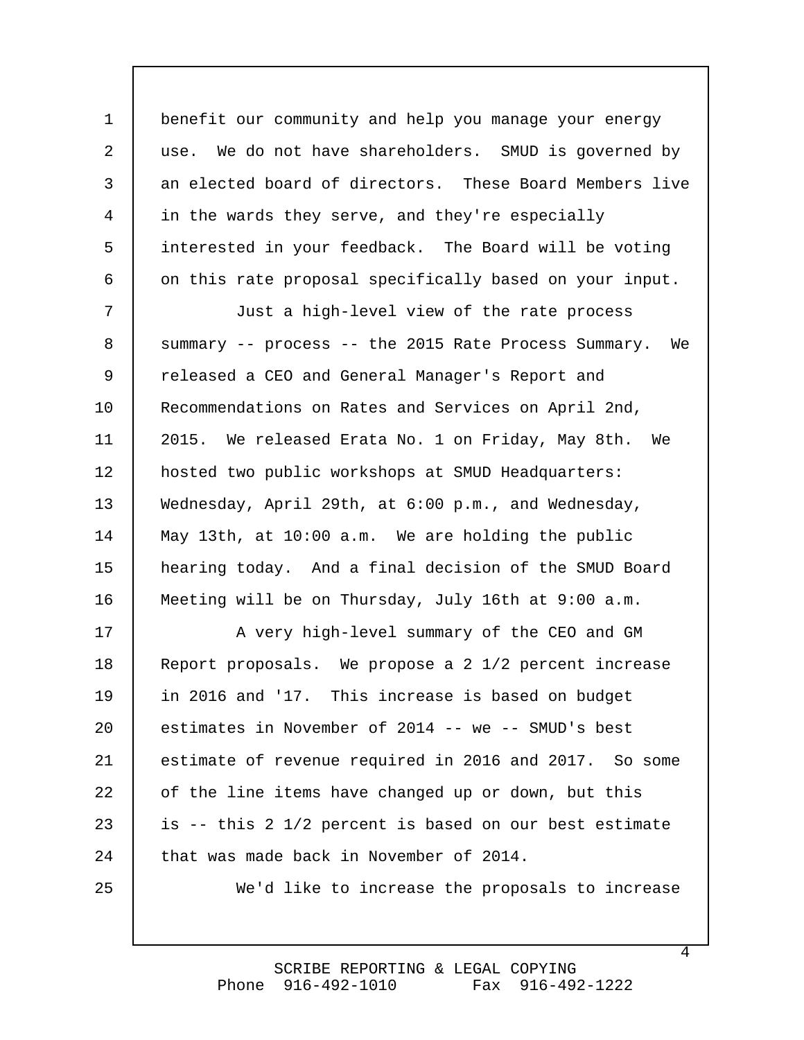benefit our community and help you manage your energy use. We do not have shareholders. SMUD is governed by an elected board of directors. These Board Members live in the wards they serve, and they're especially interested in your feedback. The Board will be voting on this rate proposal specifically based on your input. 1 2 3 4 5 6

 Just a high-level view of the rate process summary -- process -- the 2015 Rate Process Summary. We released a CEO and General Manager's Report and Recommendations on Rates and Services on April 2nd, 2015. We released Erata No. 1 on Friday, May 8th. We hosted two public workshops at SMUD Headquarters: Wednesday, April 29th, at 6:00 p.m., and Wednesday, May 13th, at 10:00 a.m. We are holding the public hearing today. And a final decision of the SMUD Board Meeting will be on Thursday, July 16th at 9:00 a.m. 7 8 9 10 11 12 13 14 15 16

 A very high-level summary of the CEO and GM Report proposals. We propose a 2 1/2 percent increase in 2016 and '17. This increase is based on budget estimates in November of 2014 -- we -- SMUD's best estimate of revenue required in 2016 and 2017. So some of the line items have changed up or down, but this is -- this 2 1/2 percent is based on our best estimate that was made back in November of 2014. 17 18 19 20 21 22 23 24

25

We'd like to increase the proposals to increase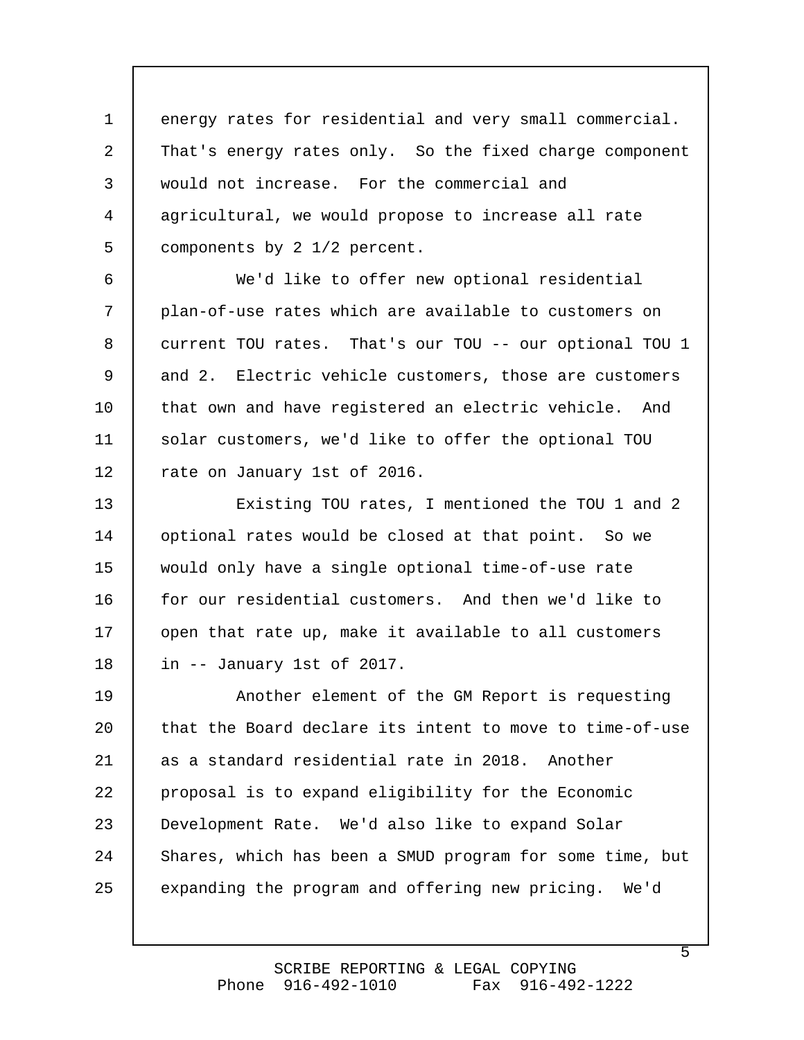energy rates for residential and very small commercial. That's energy rates only. So the fixed charge component would not increase. For the commercial and agricultural, we would propose to increase all rate components by 2 1/2 percent. 1 2 3 4 5

 We'd like to offer new optional residential plan-of-use rates which are available to customers on current TOU rates. That's our TOU -- our optional TOU 1 and 2. Electric vehicle customers, those are customers that own and have registered an electric vehicle. And solar customers, we'd like to offer the optional TOU rate on January 1st of 2016. 6 7 8 9 10 11 12

 Existing TOU rates, I mentioned the TOU 1 and 2 optional rates would be closed at that point. So we would only have a single optional time-of-use rate for our residential customers. And then we'd like to open that rate up, make it available to all customers in -- January 1st of 2017. 13 14 15 16 17 18

 Another element of the GM Report is requesting that the Board declare its intent to move to time-of-use as a standard residential rate in 2018. Another proposal is to expand eligibility for the Economic Development Rate. We'd also like to expand Solar Shares, which has been a SMUD program for some time, but expanding the program and offering new pricing. We'd 19 20 21 22 23 24 25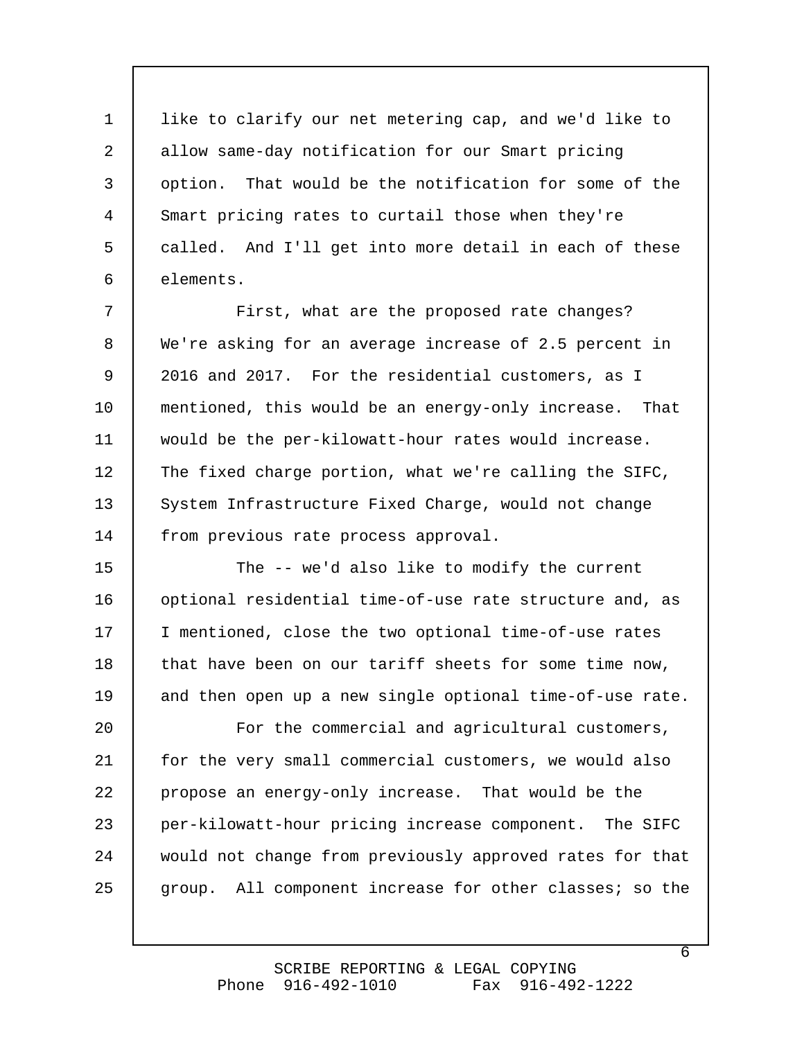like to clarify our net metering cap, and we'd like to allow same-day notification for our Smart pricing option. That would be the notification for some of the Smart pricing rates to curtail those when they're called. And I'll get into more detail in each of these elements. 1 2 3 4 5 6

 First, what are the proposed rate changes? We're asking for an average increase of 2.5 percent in 2016 and 2017. For the residential customers, as I mentioned, this would be an energy-only increase. That would be the per-kilowatt-hour rates would increase. The fixed charge portion, what we're calling the SIFC, System Infrastructure Fixed Charge, would not change from previous rate process approval. 7 8 9 10 11 12 13 14

 The -- we'd also like to modify the current optional residential time-of-use rate structure and, as I mentioned, close the two optional time-of-use rates that have been on our tariff sheets for some time now, and then open up a new single optional time-of-use rate. 15 16 17 18 19

 For the commercial and agricultural customers, for the very small commercial customers, we would also propose an energy-only increase. That would be the per-kilowatt-hour pricing increase component. The SIFC would not change from previously approved rates for that group. All component increase for other classes; so the 20 21 22 23 24 25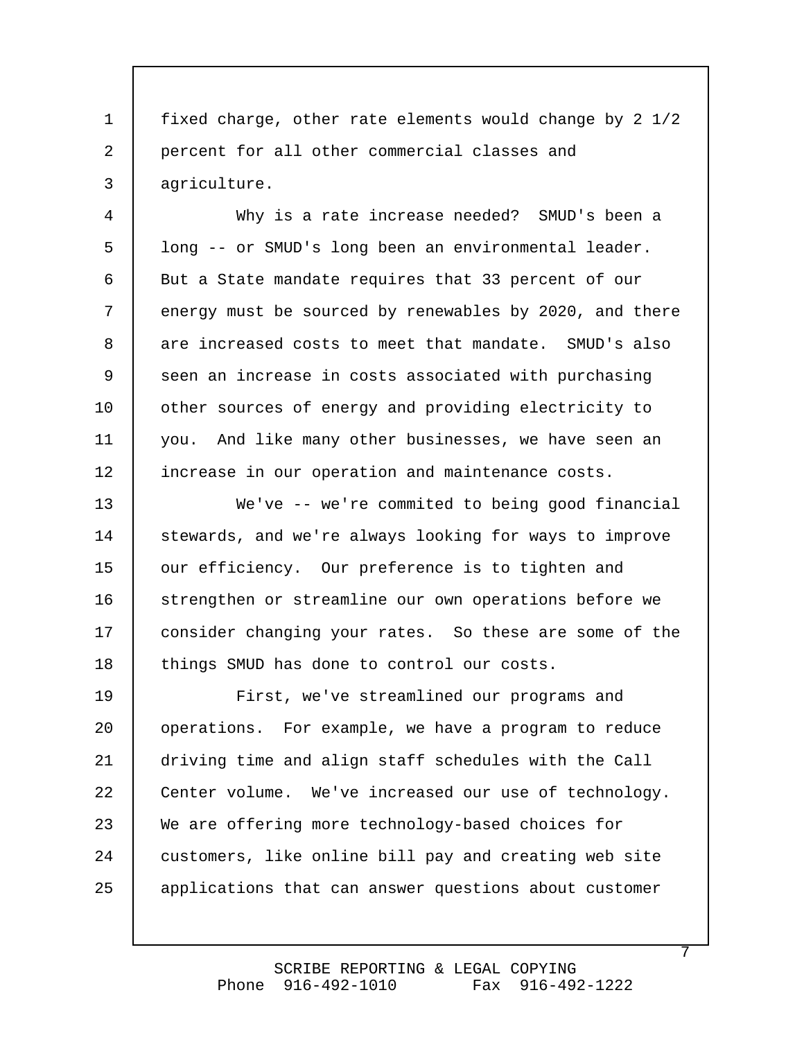fixed charge, other rate elements would change by 2 1/2 percent for all other commercial classes and agriculture. 1 2 3

 Why is a rate increase needed? SMUD's been a long -- or SMUD's long been an environmental leader. But a State mandate requires that 33 percent of our energy must be sourced by renewables by 2020, and there are increased costs to meet that mandate. SMUD's also seen an increase in costs associated with purchasing other sources of energy and providing electricity to you. And like many other businesses, we have seen an increase in our operation and maintenance costs. 4 5 6 7 8 9 10 11 12

We've -- we're commited to being good financial stewards, and we're always looking for ways to improve our efficiency. Our preference is to tighten and strengthen or streamline our own operations before we consider changing your rates. So these are some of the things SMUD has done to control our costs. 13 14 15 16 17 18

 First, we've streamlined our programs and operations. For example, we have a program to reduce driving time and align staff schedules with the Call Center volume. We've increased our use of technology. We are offering more technology-based choices for customers, like online bill pay and creating web site applications that can answer questions about customer 19 20 21 22 23 24 25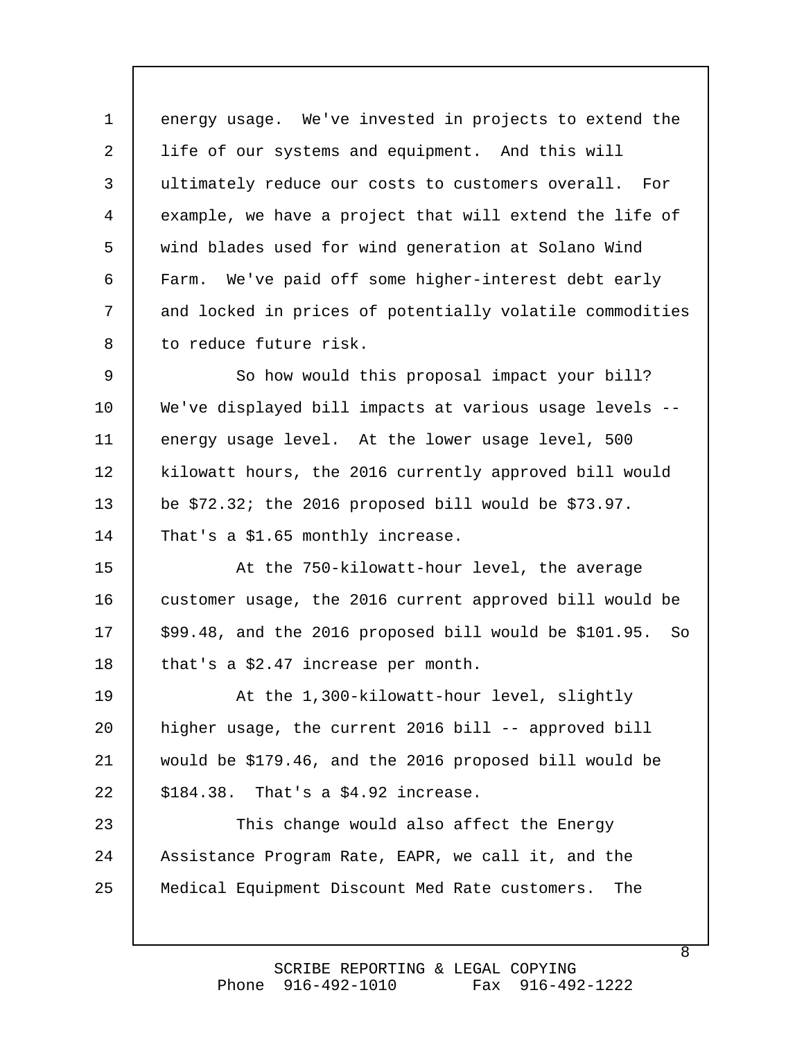energy usage. We've invested in projects to extend the life of our systems and equipment. And this will ultimately reduce our costs to customers overall. For example, we have a project that will extend the life of wind blades used for wind generation at Solano Wind Farm. We've paid off some higher-interest debt early and locked in prices of potentially volatile commodities to reduce future risk. 1 2 3 4 5 6 7 8

 So how would this proposal impact your bill? We've displayed bill impacts at various usage levels - energy usage level. At the lower usage level, 500 kilowatt hours, the 2016 currently approved bill would be \$72.32; the 2016 proposed bill would be \$73.97. That's a \$1.65 monthly increase. 9 10 11 12 13 14

 At the 750-kilowatt-hour level, the average customer usage, the 2016 current approved bill would be \$99.48, and the 2016 proposed bill would be \$101.95. So that's a \$2.47 increase per month. 15 16 17 18

 At the 1,300-kilowatt-hour level, slightly higher usage, the current 2016 bill -- approved bill would be \$179.46, and the 2016 proposed bill would be \$184.38. That's a \$4.92 increase. 19 20 21 22

 This change would also affect the Energy Assistance Program Rate, EAPR, we call it, and the Medical Equipment Discount Med Rate customers. The 23 24 25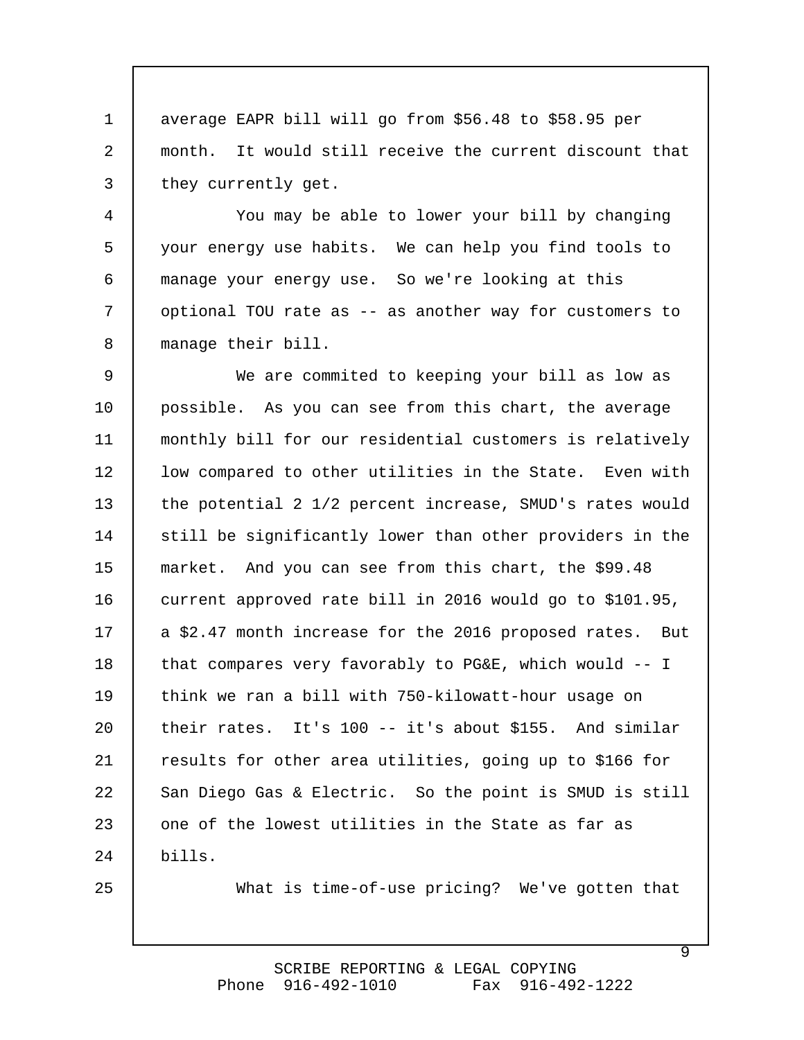average EAPR bill will go from \$56.48 to \$58.95 per month. It would still receive the current discount that they currently get. 1 2 3

 You may be able to lower your bill by changing your energy use habits. We can help you find tools to manage your energy use. So we're looking at this optional TOU rate as -- as another way for customers to manage their bill. 4 5 6 7 8

 We are commited to keeping your bill as low as possible. As you can see from this chart, the average monthly bill for our residential customers is relatively low compared to other utilities in the State. Even with the potential 2 1/2 percent increase, SMUD's rates would still be significantly lower than other providers in the market. And you can see from this chart, the \$99.48 current approved rate bill in 2016 would go to \$101.95, a \$2.47 month increase for the 2016 proposed rates. But that compares very favorably to PG&E, which would -- I think we ran a bill with 750-kilowatt-hour usage on their rates. It's 100 -- it's about \$155. And similar results for other area utilities, going up to \$166 for San Diego Gas & Electric. So the point is SMUD is still one of the lowest utilities in the State as far as bills. 9 10 11 12 13 14 15 16 17 18 19 20 21 22 23 24

25

What is time-of-use pricing? We've gotten that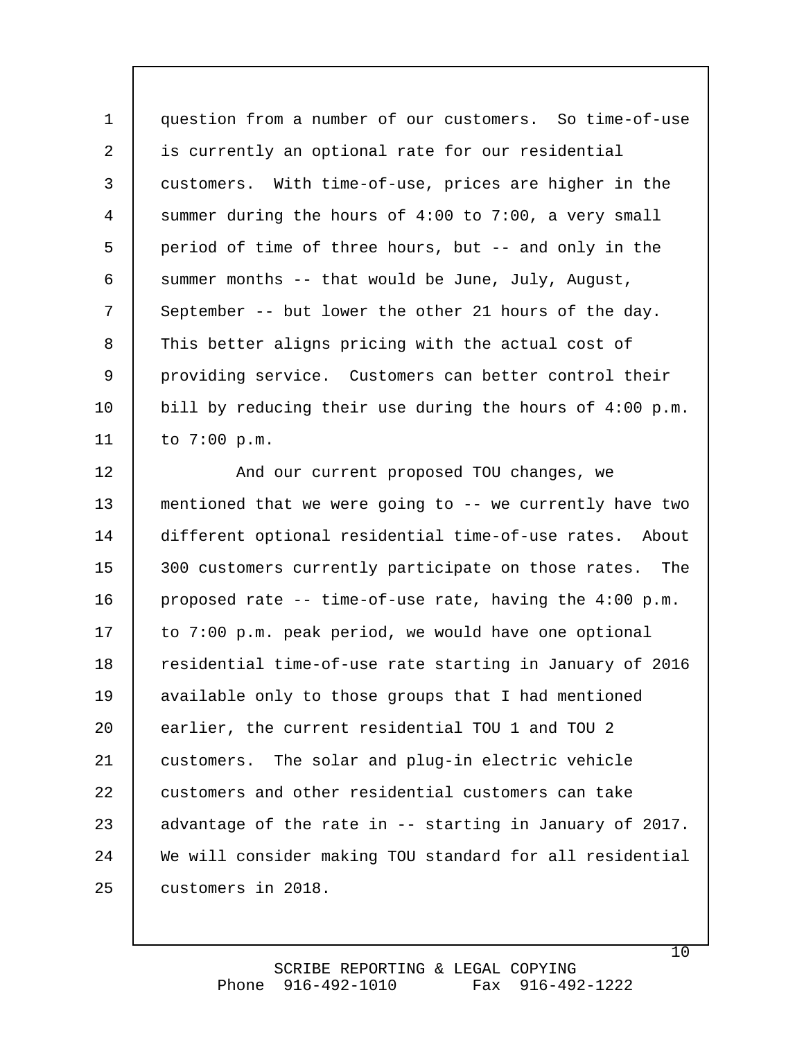question from a number of our customers. So time-of-use is currently an optional rate for our residential customers. With time-of-use, prices are higher in the summer during the hours of 4:00 to 7:00, a very small period of time of three hours, but -- and only in the summer months -- that would be June, July, August, September -- but lower the other 21 hours of the day. This better aligns pricing with the actual cost of providing service. Customers can better control their bill by reducing their use during the hours of 4:00 p.m. to 7:00 p.m. 1 2 3 4 5 6 7 8 9 10 11

 And our current proposed TOU changes, we mentioned that we were going to -- we currently have two different optional residential time-of-use rates. About 300 customers currently participate on those rates. The proposed rate -- time-of-use rate, having the 4:00 p.m. to 7:00 p.m. peak period, we would have one optional residential time-of-use rate starting in January of 2016 available only to those groups that I had mentioned earlier, the current residential TOU 1 and TOU 2 customers. The solar and plug-in electric vehicle customers and other residential customers can take advantage of the rate in -- starting in January of 2017. We will consider making TOU standard for all residential customers in 2018. 12 13 14 15 16 17 18 19 20 21 22 23 24 25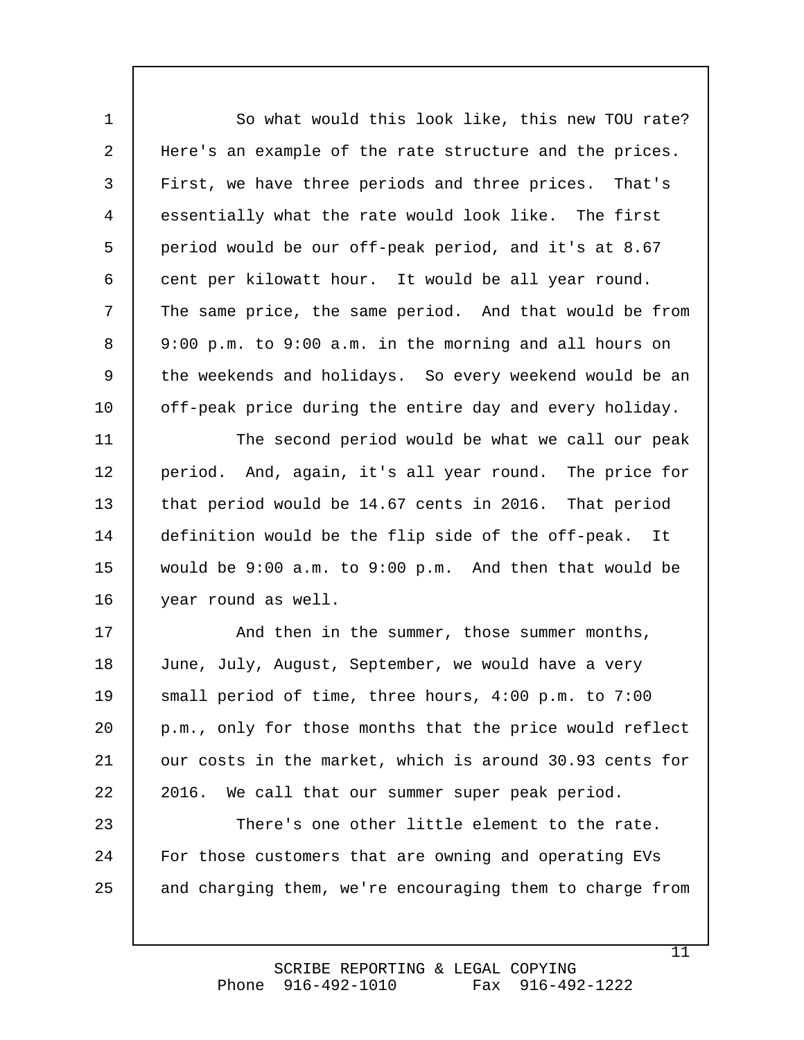So what would this look like, this new TOU rate? Here's an example of the rate structure and the prices. First, we have three periods and three prices. That's essentially what the rate would look like. The first period would be our off-peak period, and it's at 8.67 cent per kilowatt hour. It would be all year round. The same price, the same period. And that would be from 9:00 p.m. to 9:00 a.m. in the morning and all hours on the weekends and holidays. So every weekend would be an off-peak price during the entire day and every holiday. 1 2 3 4 5 6 7 8 9 10

 The second period would be what we call our peak period. And, again, it's all year round. The price for that period would be 14.67 cents in 2016. That period definition would be the flip side of the off-peak. It would be 9:00 a.m. to 9:00 p.m. And then that would be year round as well. 11 12 13 14 15 16

 And then in the summer, those summer months, June, July, August, September, we would have a very small period of time, three hours, 4:00 p.m. to 7:00 p.m., only for those months that the price would reflect our costs in the market, which is around 30.93 cents for 2016. We call that our summer super peak period. 17 18 19 20 21 22

 There's one other little element to the rate. For those customers that are owning and operating EVs and charging them, we're encouraging them to charge from 23 24 25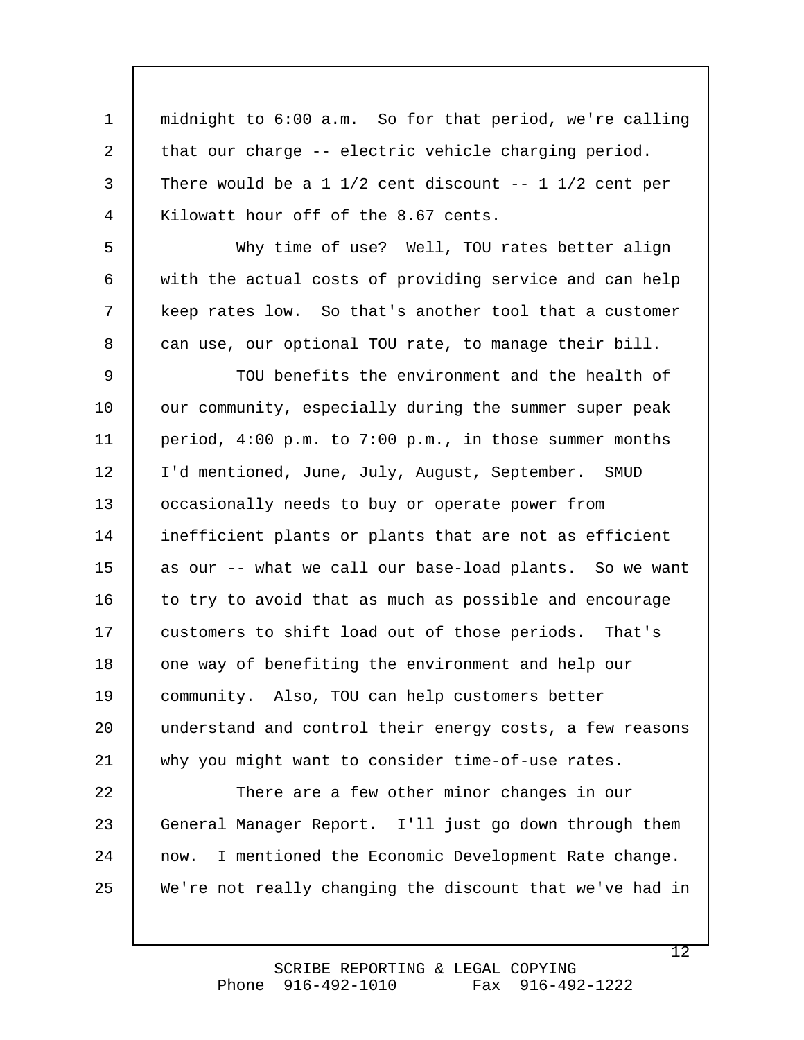midnight to 6:00 a.m. So for that period, we're calling that our charge -- electric vehicle charging period. There would be a 1  $1/2$  cent discount  $-$ - 1  $1/2$  cent per Kilowatt hour off of the 8.67 cents. 1 2 3 4

 Why time of use? Well, TOU rates better align with the actual costs of providing service and can help keep rates low. So that's another tool that a customer can use, our optional TOU rate, to manage their bill. 5 6 7 8

 TOU benefits the environment and the health of our community, especially during the summer super peak period, 4:00 p.m. to 7:00 p.m., in those summer months I'd mentioned, June, July, August, September. SMUD occasionally needs to buy or operate power from inefficient plants or plants that are not as efficient as our -- what we call our base-load plants. So we want to try to avoid that as much as possible and encourage customers to shift load out of those periods. That's one way of benefiting the environment and help our community. Also, TOU can help customers better understand and control their energy costs, a few reasons why you might want to consider time-of-use rates. 9 10 11 12 13 14 15 16 17 18 19 20 21

 There are a few other minor changes in our General Manager Report. I'll just go down through them now. I mentioned the Economic Development Rate change. We're not really changing the discount that we've had in 22 23 24 25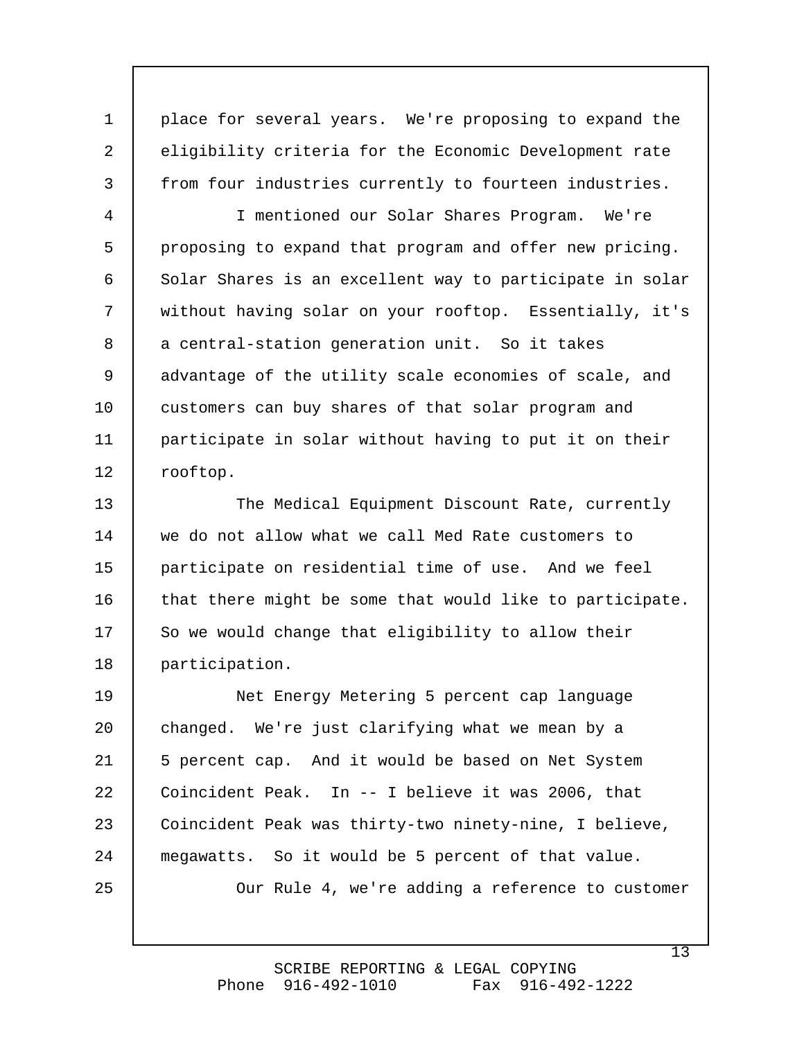place for several years. We're proposing to expand the eligibility criteria for the Economic Development rate from four industries currently to fourteen industries. 1 2 3

 I mentioned our Solar Shares Program. We're proposing to expand that program and offer new pricing. Solar Shares is an excellent way to participate in solar without having solar on your rooftop. Essentially, it's a central-station generation unit. So it takes advantage of the utility scale economies of scale, and customers can buy shares of that solar program and participate in solar without having to put it on their rooftop. 4 5 6 7 8 9 10 11 12

 The Medical Equipment Discount Rate, currently we do not allow what we call Med Rate customers to participate on residential time of use. And we feel that there might be some that would like to participate. So we would change that eligibility to allow their participation. 13 14 15 16 17 18

 Net Energy Metering 5 percent cap language changed. We're just clarifying what we mean by a 5 percent cap. And it would be based on Net System Coincident Peak. In -- I believe it was 2006, that Coincident Peak was thirty-two ninety-nine, I believe, megawatts. So it would be 5 percent of that value. Our Rule 4, we're adding a reference to customer 19 20 21 22 23 24 25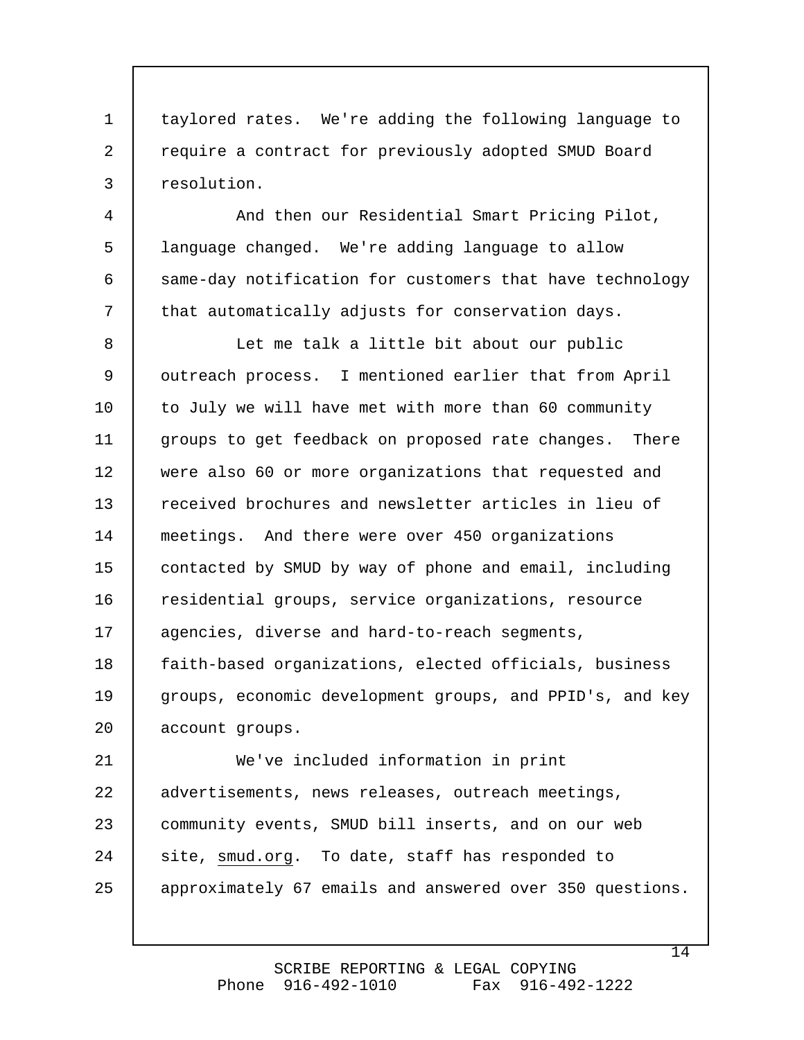taylored rates. We're adding the following language to require a contract for previously adopted SMUD Board resolution. 1 2 3

 And then our Residential Smart Pricing Pilot, language changed. We're adding language to allow same-day notification for customers that have technology that automatically adjusts for conservation days. 4 5 6 7

 Let me talk a little bit about our public outreach process. I mentioned earlier that from April to July we will have met with more than 60 community groups to get feedback on proposed rate changes. There were also 60 or more organizations that requested and received brochures and newsletter articles in lieu of meetings. And there were over 450 organizations contacted by SMUD by way of phone and email, including residential groups, service organizations, resource agencies, diverse and hard-to-reach segments, faith-based organizations, elected officials, business groups, economic development groups, and PPID's, and key account groups. We've included information in print 8 9 10 11 12 13 14 15 16 17 18 19 20 21

advertisements, news releases, outreach meetings, community events, SMUD bill inserts, and on our web site, smud.org. To date, staff has responded to approximately 67 emails and answered over 350 questions. 22 23 24 25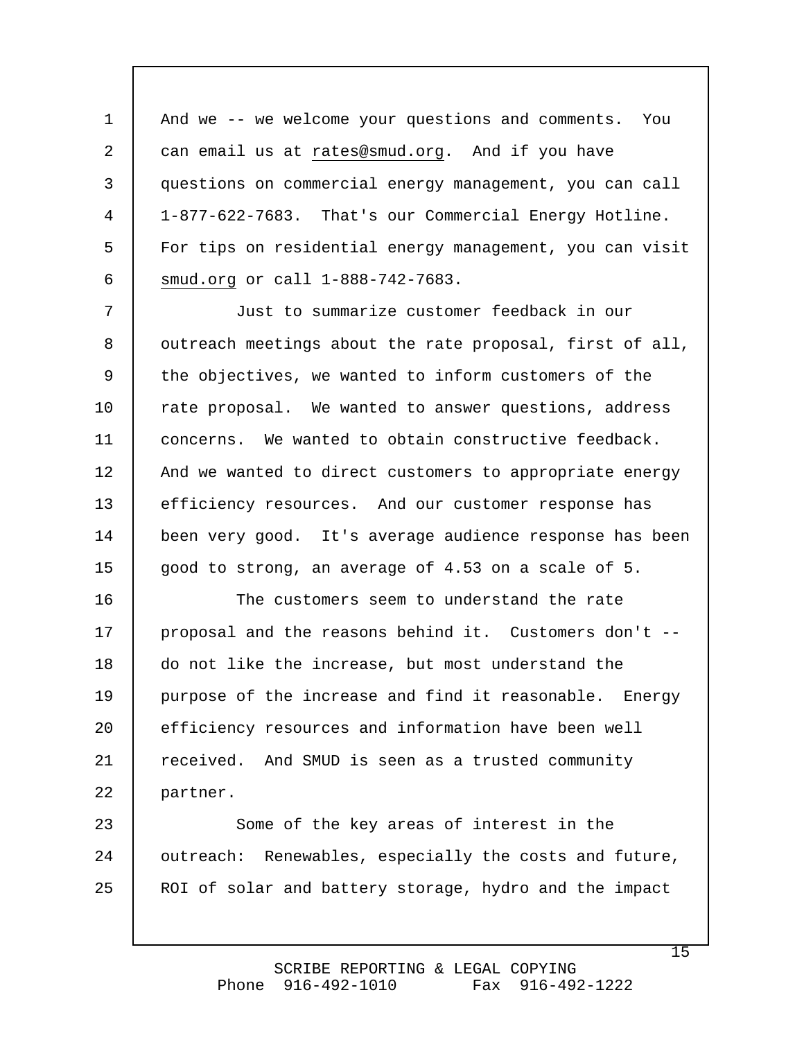And we -- we welcome your questions and comments. You can email us at [rates@smud.org.](mailto:rates@smud.org.) And if you have questions on commercial energy management, you can call 1-877-622-7683. That's our Commercial Energy Hotline. For tips on residential energy management, you can visit smud.org or call 1-888-742-7683. 1 2 3 4 5 6

 Just to summarize customer feedback in our outreach meetings about the rate proposal, first of all, the objectives, we wanted to inform customers of the rate proposal. We wanted to answer questions, address concerns. We wanted to obtain constructive feedback. And we wanted to direct customers to appropriate energy efficiency resources. And our customer response has been very good. It's average audience response has been good to strong, an average of 4.53 on a scale of 5. 7 8 9 10 11 12 13 14 15

 The customers seem to understand the rate proposal and the reasons behind it. Customers don't - do not like the increase, but most understand the purpose of the increase and find it reasonable. Energy efficiency resources and information have been well received. And SMUD is seen as a trusted community partner. 16 17 18 19 20 21 22

 Some of the key areas of interest in the outreach: Renewables, especially the costs and future, ROI of solar and battery storage, hydro and the impact 23 24 25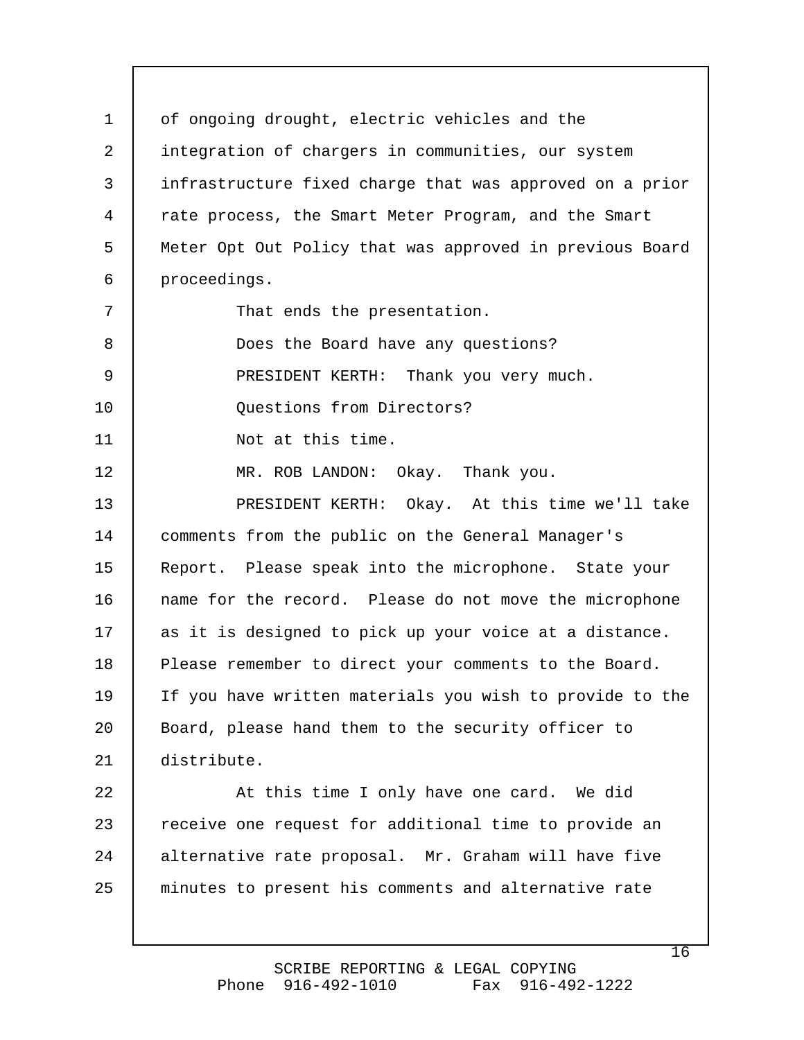of ongoing drought, electric vehicles and the integration of chargers in communities, our system infrastructure fixed charge that was approved on a prior rate process, the Smart Meter Program, and the Smart Meter Opt Out Policy that was approved in previous Board proceedings. That ends the presentation. Does the Board have any questions? PRESIDENT KERTH: Thank you very much. Questions from Directors? Not at this time. MR. ROB LANDON: Okay. Thank you. PRESIDENT KERTH: Okay. At this time we'll take comments from the public on the General Manager's Report. Please speak into the microphone. State your name for the record. Please do not move the microphone as it is designed to pick up your voice at a distance. Please remember to direct your comments to the Board. If you have written materials you wish to provide to the Board, please hand them to the security officer to distribute. At this time I only have one card. We did receive one request for additional time to provide an alternative rate proposal. Mr. Graham will have five minutes to present his comments and alternative rate 1 2 3 4 5 6 7 8 9 10 11 12 13 14 15 16 17 18 19 20 21 22 23 24 25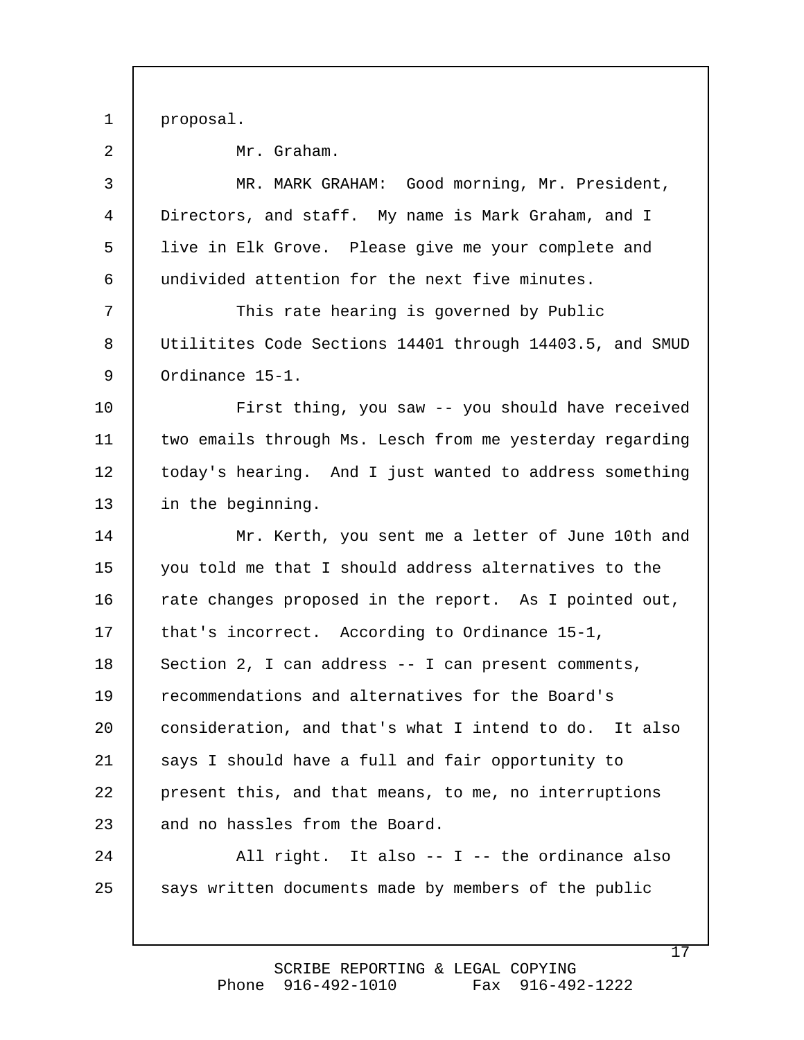proposal. 1

| 2            | Mr. Graham.                                              |
|--------------|----------------------------------------------------------|
| $\mathsf{3}$ | MR. MARK GRAHAM: Good morning, Mr. President,            |
| 4            | Directors, and staff. My name is Mark Graham, and I      |
| 5            | live in Elk Grove. Please give me your complete and      |
| 6            | undivided attention for the next five minutes.           |
| 7            | This rate hearing is governed by Public                  |
| 8            | Utilitites Code Sections 14401 through 14403.5, and SMUD |
| 9            | Ordinance 15-1.                                          |
| 10           | First thing, you saw -- you should have received         |
| 11           | two emails through Ms. Lesch from me yesterday regarding |
| 12           | today's hearing. And I just wanted to address something  |
| 13           | in the beginning.                                        |
| 14           | Mr. Kerth, you sent me a letter of June 10th and         |
| 15           | you told me that I should address alternatives to the    |
| 16           | rate changes proposed in the report. As I pointed out,   |
| 17           | that's incorrect. According to Ordinance 15-1,           |
| 18           | Section 2, I can address -- I can present comments,      |
| 19           | recommendations and alternatives for the Board's         |
| 20           | consideration, and that's what I intend to do. It also   |
| 21           | says I should have a full and fair opportunity to        |
| 22           | present this, and that means, to me, no interruptions    |
|              |                                                          |
| 23           | and no hassles from the Board.                           |
| 24           | All right. It also -- I -- the ordinance also            |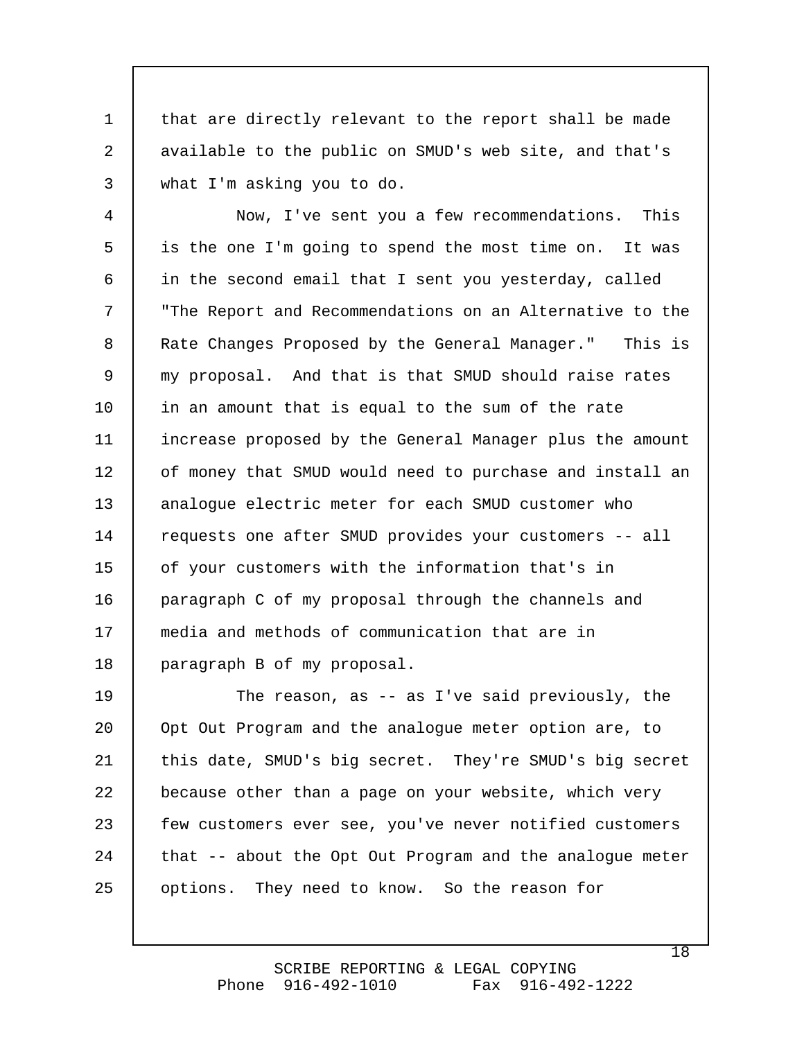that are directly relevant to the report shall be made available to the public on SMUD's web site, and that's what I'm asking you to do. 1 2 3

 Now, I've sent you a few recommendations. This is the one I'm going to spend the most time on. It was in the second email that I sent you yesterday, called "The Report and Recommendations on an Alternative to the Rate Changes Proposed by the General Manager." This is my proposal. And that is that SMUD should raise rates in an amount that is equal to the sum of the rate increase proposed by the General Manager plus the amount of money that SMUD would need to purchase and install an analogue electric meter for each SMUD customer who requests one after SMUD provides your customers -- all of your customers with the information that's in paragraph C of my proposal through the channels and media and methods of communication that are in paragraph B of my proposal. 4 5 6 7 8 9 10 11 12 13 14 15 16 17 18

 The reason, as -- as I've said previously, the Opt Out Program and the analogue meter option are, to this date, SMUD's big secret. They're SMUD's big secret because other than a page on your website, which very few customers ever see, you've never notified customers that -- about the Opt Out Program and the analogue meter options. They need to know. So the reason for 19 20 21 22 23 24 25

> SCRIBE REPORTING & LEGAL COPYING Phone 916-492-1010 Fax 916-492-1222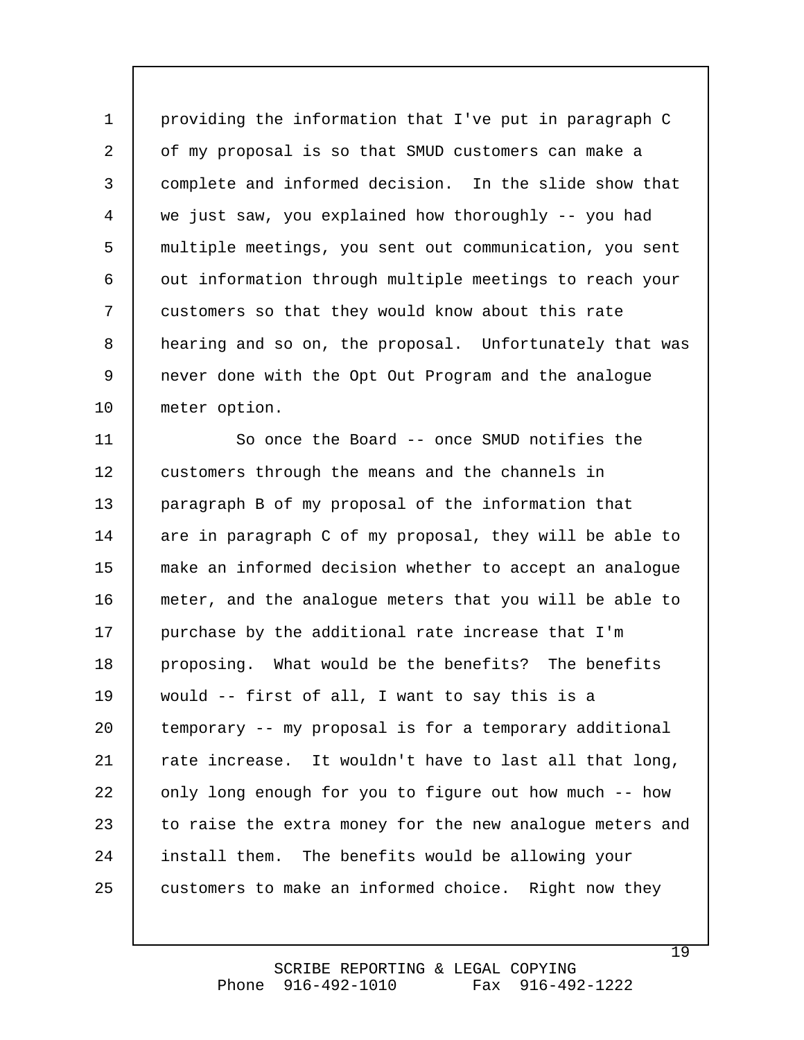providing the information that I've put in paragraph C of my proposal is so that SMUD customers can make a complete and informed decision. In the slide show that we just saw, you explained how thoroughly -- you had multiple meetings, you sent out communication, you sent out information through multiple meetings to reach your customers so that they would know about this rate hearing and so on, the proposal. Unfortunately that was never done with the Opt Out Program and the analogue meter option. 1 2 3 4 5 6 7 8 9 10

 So once the Board -- once SMUD notifies the customers through the means and the channels in paragraph B of my proposal of the information that are in paragraph C of my proposal, they will be able to make an informed decision whether to accept an analogue meter, and the analogue meters that you will be able to purchase by the additional rate increase that I'm proposing. What would be the benefits? The benefits would -- first of all, I want to say this is a temporary -- my proposal is for a temporary additional rate increase. It wouldn't have to last all that long, only long enough for you to figure out how much -- how to raise the extra money for the new analogue meters and install them. The benefits would be allowing your customers to make an informed choice. Right now they 11 12 13 14 15 16 17 18 19 20 21 22 23 24 25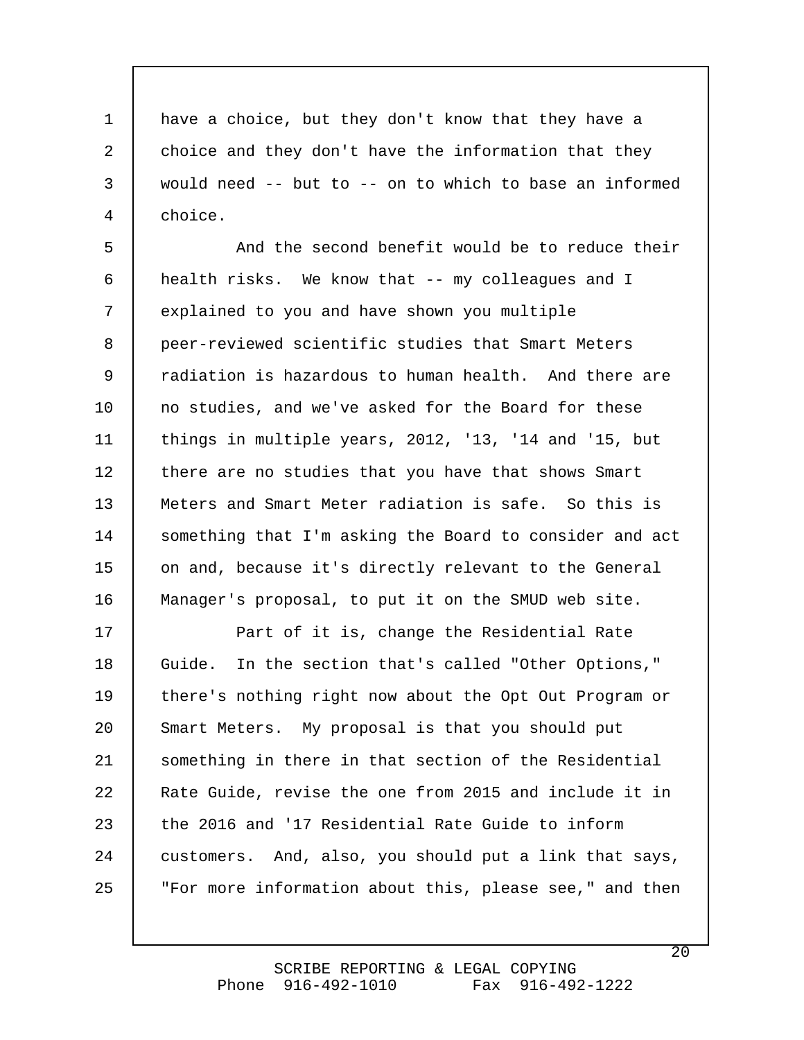have a choice, but they don't know that they have a choice and they don't have the information that they would need -- but to -- on to which to base an informed choice. 1 2 3 4

 And the second benefit would be to reduce their health risks. We know that -- my colleagues and I explained to you and have shown you multiple peer-reviewed scientific studies that Smart Meters radiation is hazardous to human health. And there are no studies, and we've asked for the Board for these things in multiple years, 2012, '13, '14 and '15, but there are no studies that you have that shows Smart Meters and Smart Meter radiation is safe. So this is something that I'm asking the Board to consider and act on and, because it's directly relevant to the General Manager's proposal, to put it on the SMUD web site. 5 6 7 8 9 10 11 12 13 14 15 16

 Part of it is, change the Residential Rate Guide. In the section that's called "Other Options," there's nothing right now about the Opt Out Program or Smart Meters. My proposal is that you should put something in there in that section of the Residential Rate Guide, revise the one from 2015 and include it in the 2016 and '17 Residential Rate Guide to inform customers. And, also, you should put a link that says, "For more information about this, please see," and then 17 18 19 20 21 22 23 24 25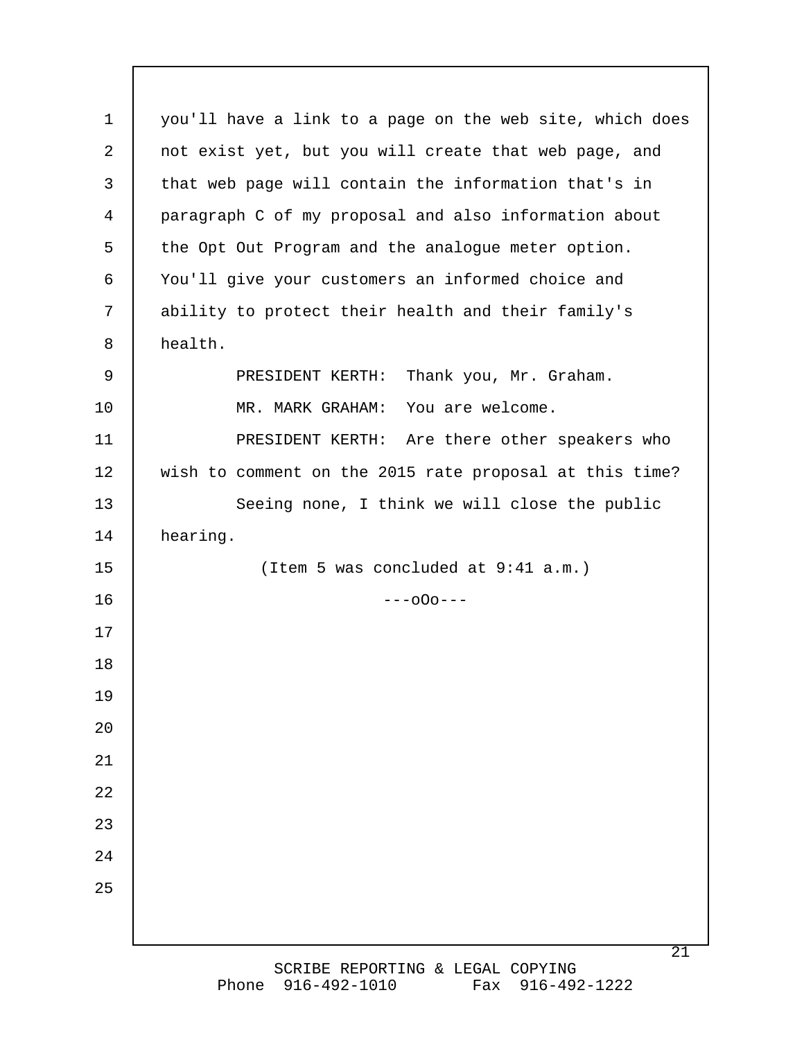you'll have a link to a page on the web site, which does not exist yet, but you will create that web page, and that web page will contain the information that's in paragraph C of my proposal and also information about the Opt Out Program and the analogue meter option. You'll give your customers an informed choice and ability to protect their health and their family's health. PRESIDENT KERTH: Thank you, Mr. Graham. MR. MARK GRAHAM: You are welcome. PRESIDENT KERTH: Are there other speakers who wish to comment on the 2015 rate proposal at this time? Seeing none, I think we will close the public hearing. (Item 5 was concluded at 9:41 a.m.)  $---000---$ 1 2 3 4 5 6 7 8 9 10 11 12 13 14 15 16 17 18 19 20 21 22 23 24 25